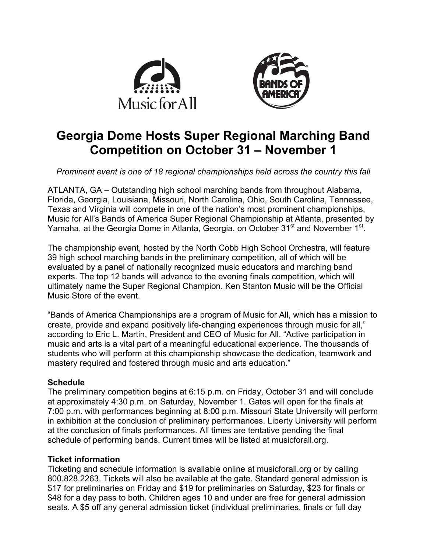



# **Georgia Dome Hosts Super Regional Marching Band Competition on October 31 – November 1**

*Prominent event is one of 18 regional championships held across the country this fall*

ATLANTA, GA – Outstanding high school marching bands from throughout Alabama, Florida, Georgia, Louisiana, Missouri, North Carolina, Ohio, South Carolina, Tennessee, Texas and Virginia will compete in one of the nation's most prominent championships, Music for All's Bands of America Super Regional Championship at Atlanta, presented by Yamaha, at the Georgia Dome in Atlanta, Georgia, on October 31<sup>st</sup> and November 1<sup>st</sup>.

The championship event, hosted by the North Cobb High School Orchestra, will feature 39 high school marching bands in the preliminary competition, all of which will be evaluated by a panel of nationally recognized music educators and marching band experts. The top 12 bands will advance to the evening finals competition, which will ultimately name the Super Regional Champion. Ken Stanton Music will be the Official Music Store of the event.

"Bands of America Championships are a program of Music for All, which has a mission to create, provide and expand positively life-changing experiences through music for all," according to Eric L. Martin, President and CEO of Music for All. "Active participation in music and arts is a vital part of a meaningful educational experience. The thousands of students who will perform at this championship showcase the dedication, teamwork and mastery required and fostered through music and arts education."

### **Schedule**

The preliminary competition begins at 6:15 p.m. on Friday, October 31 and will conclude at approximately 4:30 p.m. on Saturday, November 1. Gates will open for the finals at 7:00 p.m. with performances beginning at 8:00 p.m. Missouri State University will perform in exhibition at the conclusion of preliminary performances. Liberty University will perform at the conclusion of finals performances. All times are tentative pending the final schedule of performing bands. Current times will be listed at musicforall.org.

## **Ticket information**

Ticketing and schedule information is available online at musicforall.org or by calling 800.828.2263. Tickets will also be available at the gate. Standard general admission is \$17 for preliminaries on Friday and \$19 for preliminaries on Saturday, \$23 for finals or \$48 for a day pass to both. Children ages 10 and under are free for general admission seats. A \$5 off any general admission ticket (individual preliminaries, finals or full day